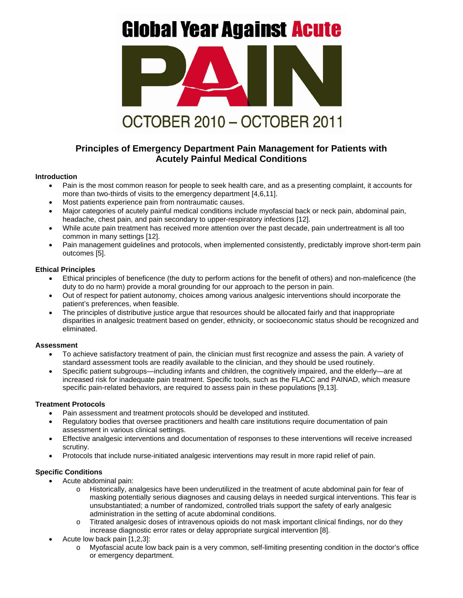# **Global Year Against Acute**



# **Principles of Emergency Department Pain Management for Patients with Acutely Painful Medical Conditions**

#### **Introduction**

- Pain is the most common reason for people to seek health care, and as a presenting complaint, it accounts for more than two-thirds of visits to the emergency department [4,6,11].
- Most patients experience pain from nontraumatic causes.
- Major categories of acutely painful medical conditions include myofascial back or neck pain, abdominal pain, headache, chest pain, and pain secondary to upper-respiratory infections [12].
- While acute pain treatment has received more attention over the past decade, pain undertreatment is all too common in many settings [12].
- Pain management guidelines and protocols, when implemented consistently, predictably improve short-term pain outcomes [5].

## **Ethical Principles**

- Ethical principles of beneficence (the duty to perform actions for the benefit of others) and non-maleficence (the duty to do no harm) provide a moral grounding for our approach to the person in pain.
- Out of respect for patient autonomy, choices among various analgesic interventions should incorporate the patient's preferences, when feasible.
- The principles of distributive justice argue that resources should be allocated fairly and that inappropriate disparities in analgesic treatment based on gender, ethnicity, or socioeconomic status should be recognized and eliminated.

#### **Assessment**

- To achieve satisfactory treatment of pain, the clinician must first recognize and assess the pain. A variety of standard assessment tools are readily available to the clinician, and they should be used routinely.
- Specific patient subgroups—including infants and children, the cognitively impaired, and the elderly—are at increased risk for inadequate pain treatment. Specific tools, such as the FLACC and PAINAD, which measure specific pain-related behaviors, are required to assess pain in these populations [9,13].

#### **Treatment Protocols**

- Pain assessment and treatment protocols should be developed and instituted.
- Regulatory bodies that oversee practitioners and health care institutions require documentation of pain assessment in various clinical settings.
- Effective analgesic interventions and documentation of responses to these interventions will receive increased scrutiny.
- Protocols that include nurse-initiated analgesic interventions may result in more rapid relief of pain.

## **Specific Conditions**

- Acute abdominal pain:
	- o Historically, analgesics have been underutilized in the treatment of acute abdominal pain for fear of masking potentially serious diagnoses and causing delays in needed surgical interventions. This fear is unsubstantiated; a number of randomized, controlled trials support the safety of early analgesic administration in the setting of acute abdominal conditions.
	- o Titrated analgesic doses of intravenous opioids do not mask important clinical findings, nor do they increase diagnostic error rates or delay appropriate surgical intervention [8].
- Acute low back pain [1,2,3]:
	- o Myofascial acute low back pain is a very common, self-limiting presenting condition in the doctor's office or emergency department.